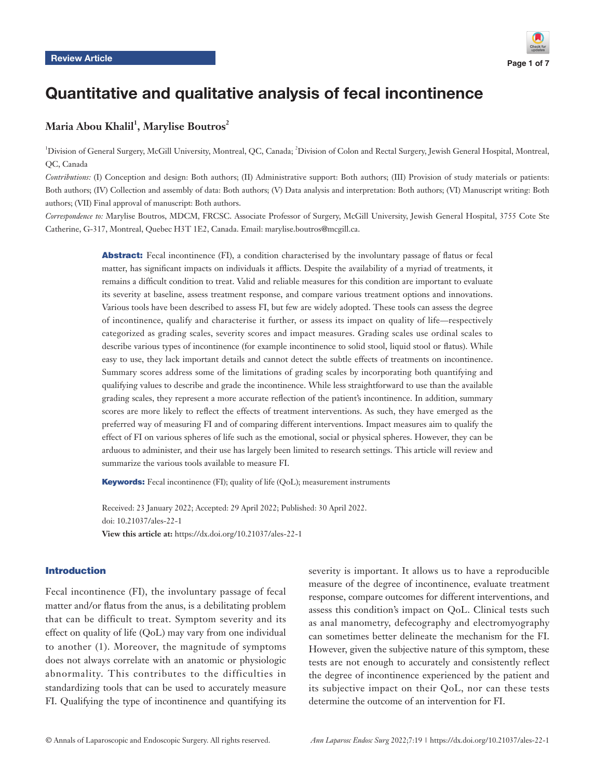

# Quantitative and qualitative analysis of fecal incontinence

# $\mathbf M$ aria Abou Khalil<sup>1</sup>, Marylise Boutros $^2$

<sup>1</sup>Division of General Surgery, McGill University, Montreal, QC, Canada; <sup>2</sup>Division of Colon and Rectal Surgery, Jewish General Hospital, Montreal, QC, Canada

*Contributions:* (I) Conception and design: Both authors; (II) Administrative support: Both authors; (III) Provision of study materials or patients: Both authors; (IV) Collection and assembly of data: Both authors; (V) Data analysis and interpretation: Both authors; (VI) Manuscript writing: Both authors; (VII) Final approval of manuscript: Both authors.

*Correspondence to:* Marylise Boutros, MDCM, FRCSC. Associate Professor of Surgery, McGill University, Jewish General Hospital, 3755 Cote Ste Catherine, G-317, Montreal, Quebec H3T 1E2, Canada. Email: marylise.boutros@mcgill.ca.

> Abstract: Fecal incontinence (FI), a condition characterised by the involuntary passage of flatus or fecal matter, has significant impacts on individuals it afflicts. Despite the availability of a myriad of treatments, it remains a difficult condition to treat. Valid and reliable measures for this condition are important to evaluate its severity at baseline, assess treatment response, and compare various treatment options and innovations. Various tools have been described to assess FI, but few are widely adopted. These tools can assess the degree of incontinence, qualify and characterise it further, or assess its impact on quality of life—respectively categorized as grading scales, severity scores and impact measures. Grading scales use ordinal scales to describe various types of incontinence (for example incontinence to solid stool, liquid stool or flatus). While easy to use, they lack important details and cannot detect the subtle effects of treatments on incontinence. Summary scores address some of the limitations of grading scales by incorporating both quantifying and qualifying values to describe and grade the incontinence. While less straightforward to use than the available grading scales, they represent a more accurate reflection of the patient's incontinence. In addition, summary scores are more likely to reflect the effects of treatment interventions. As such, they have emerged as the preferred way of measuring FI and of comparing different interventions. Impact measures aim to qualify the effect of FI on various spheres of life such as the emotional, social or physical spheres. However, they can be arduous to administer, and their use has largely been limited to research settings. This article will review and summarize the various tools available to measure FI.

Keywords: Fecal incontinence (FI); quality of life (QoL); measurement instruments

Received: 23 January 2022; Accepted: 29 April 2022; Published: 30 April 2022. doi: 10.21037/ales-22-1 **View this article at:** https://dx.doi.org/10.21037/ales-22-1

# Introduction

Fecal incontinence (FI), the involuntary passage of fecal matter and/or flatus from the anus, is a debilitating problem that can be difficult to treat. Symptom severity and its effect on quality of life (QoL) may vary from one individual to another (1). Moreover, the magnitude of symptoms does not always correlate with an anatomic or physiologic abnormality. This contributes to the difficulties in standardizing tools that can be used to accurately measure FI. Qualifying the type of incontinence and quantifying its severity is important. It allows us to have a reproducible measure of the degree of incontinence, evaluate treatment response, compare outcomes for different interventions, and assess this condition's impact on QoL. Clinical tests such as anal manometry, defecography and electromyography can sometimes better delineate the mechanism for the FI. However, given the subjective nature of this symptom, these tests are not enough to accurately and consistently reflect the degree of incontinence experienced by the patient and its subjective impact on their QoL, nor can these tests determine the outcome of an intervention for FI.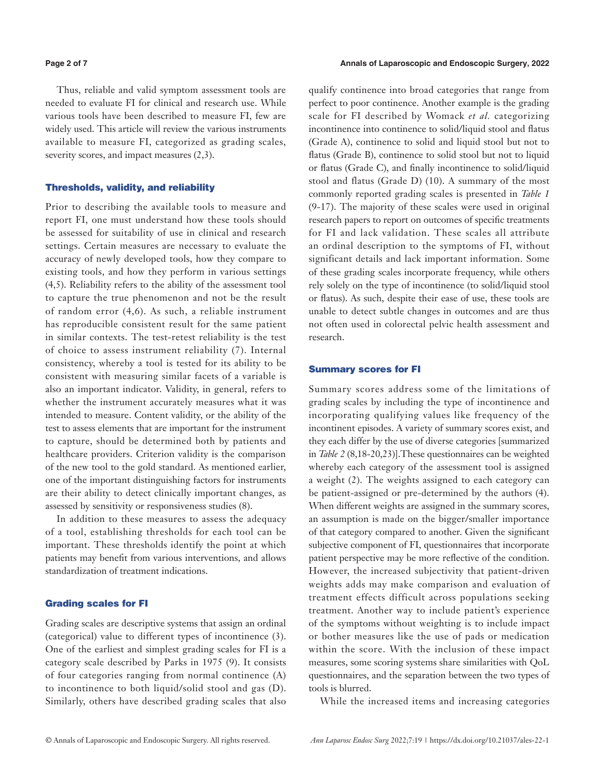Thus, reliable and valid symptom assessment tools are needed to evaluate FI for clinical and research use. While various tools have been described to measure FI, few are widely used. This article will review the various instruments available to measure FI, categorized as grading scales, severity scores, and impact measures  $(2,3)$ .

## Thresholds, validity, and reliability

Prior to describing the available tools to measure and report FI, one must understand how these tools should be assessed for suitability of use in clinical and research settings. Certain measures are necessary to evaluate the accuracy of newly developed tools, how they compare to existing tools, and how they perform in various settings (4,5). Reliability refers to the ability of the assessment tool to capture the true phenomenon and not be the result of random error (4,6). As such, a reliable instrument has reproducible consistent result for the same patient in similar contexts. The test-retest reliability is the test of choice to assess instrument reliability (7). Internal consistency, whereby a tool is tested for its ability to be consistent with measuring similar facets of a variable is also an important indicator. Validity, in general, refers to whether the instrument accurately measures what it was intended to measure. Content validity, or the ability of the test to assess elements that are important for the instrument to capture, should be determined both by patients and healthcare providers. Criterion validity is the comparison of the new tool to the gold standard. As mentioned earlier, one of the important distinguishing factors for instruments are their ability to detect clinically important changes, as assessed by sensitivity or responsiveness studies (8).

In addition to these measures to assess the adequacy of a tool, establishing thresholds for each tool can be important. These thresholds identify the point at which patients may benefit from various interventions, and allows standardization of treatment indications.

# Grading scales for FI

Grading scales are descriptive systems that assign an ordinal (categorical) value to different types of incontinence (3). One of the earliest and simplest grading scales for FI is a category scale described by Parks in 1975 (9). It consists of four categories ranging from normal continence (A) to incontinence to both liquid/solid stool and gas (D). Similarly, others have described grading scales that also

qualify continence into broad categories that range from perfect to poor continence. Another example is the grading scale for FI described by Womack *et al.* categorizing incontinence into continence to solid/liquid stool and flatus (Grade A), continence to solid and liquid stool but not to flatus (Grade B), continence to solid stool but not to liquid or flatus (Grade C), and finally incontinence to solid/liquid stool and flatus (Grade D) (10). A summary of the most commonly reported grading scales is presented in *Table 1* (9-17). The majority of these scales were used in original research papers to report on outcomes of specific treatments for FI and lack validation. These scales all attribute an ordinal description to the symptoms of FI, without significant details and lack important information. Some of these grading scales incorporate frequency, while others rely solely on the type of incontinence (to solid/liquid stool or flatus). As such, despite their ease of use, these tools are unable to detect subtle changes in outcomes and are thus not often used in colorectal pelvic health assessment and research.

## Summary scores for FI

Summary scores address some of the limitations of grading scales by including the type of incontinence and incorporating qualifying values like frequency of the incontinent episodes. A variety of summary scores exist, and they each differ by the use of diverse categories [summarized in *Table 2* (8,18-20,23)].These questionnaires can be weighted whereby each category of the assessment tool is assigned a weight (2). The weights assigned to each category can be patient-assigned or pre-determined by the authors (4). When different weights are assigned in the summary scores, an assumption is made on the bigger/smaller importance of that category compared to another. Given the significant subjective component of FI, questionnaires that incorporate patient perspective may be more reflective of the condition. However, the increased subjectivity that patient-driven weights adds may make comparison and evaluation of treatment effects difficult across populations seeking treatment. Another way to include patient's experience of the symptoms without weighting is to include impact or bother measures like the use of pads or medication within the score. With the inclusion of these impact measures, some scoring systems share similarities with QoL questionnaires, and the separation between the two types of tools is blurred.

While the increased items and increasing categories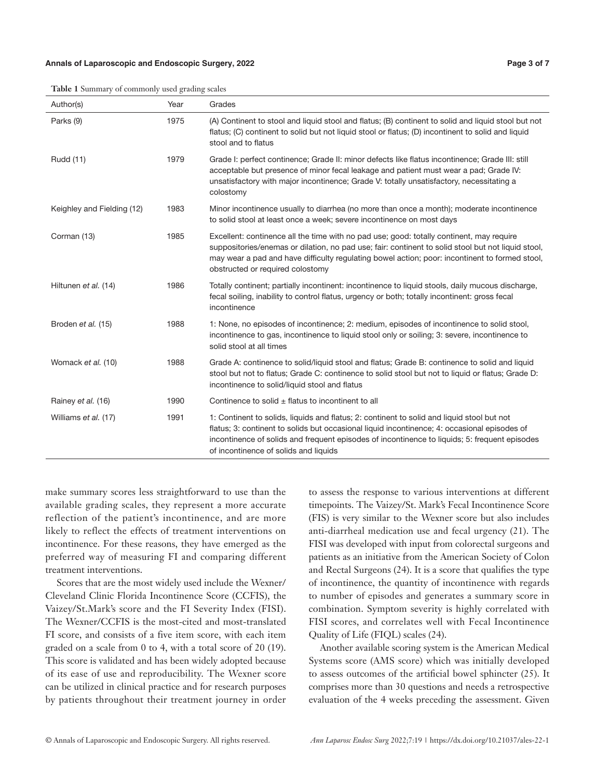### **Annals of Laparoscopic and Endoscopic Surgery, 2022 Page 3 of 7**

| <b>Table 1</b> Summary of commonly used grading scales |  |  |  |
|--------------------------------------------------------|--|--|--|
|                                                        |  |  |  |

| Author(s)                  | Year | Grades                                                                                                                                                                                                                                                                                                                               |
|----------------------------|------|--------------------------------------------------------------------------------------------------------------------------------------------------------------------------------------------------------------------------------------------------------------------------------------------------------------------------------------|
| Parks (9)                  | 1975 | (A) Continent to stool and liquid stool and flatus; (B) continent to solid and liquid stool but not<br>flatus; (C) continent to solid but not liquid stool or flatus; (D) incontinent to solid and liquid<br>stool and to flatus                                                                                                     |
| Rudd (11)                  | 1979 | Grade I: perfect continence; Grade II: minor defects like flatus incontinence; Grade III: still<br>acceptable but presence of minor fecal leakage and patient must wear a pad; Grade IV:<br>unsatisfactory with major incontinence; Grade V: totally unsatisfactory, necessitating a<br>colostomy                                    |
| Keighley and Fielding (12) | 1983 | Minor incontinence usually to diarrhea (no more than once a month); moderate incontinence<br>to solid stool at least once a week; severe incontinence on most days                                                                                                                                                                   |
| Corman (13)                | 1985 | Excellent: continence all the time with no pad use; good: totally continent, may require<br>suppositories/enemas or dilation, no pad use; fair: continent to solid stool but not liquid stool,<br>may wear a pad and have difficulty regulating bowel action; poor: incontinent to formed stool,<br>obstructed or required colostomy |
| Hiltunen et al. (14)       | 1986 | Totally continent; partially incontinent: incontinence to liquid stools, daily mucous discharge,<br>fecal soiling, inability to control flatus, urgency or both; totally incontinent: gross fecal<br>incontinence                                                                                                                    |
| Broden et al. (15)         | 1988 | 1: None, no episodes of incontinence; 2: medium, episodes of incontinence to solid stool,<br>incontinence to gas, incontinence to liquid stool only or soiling; 3: severe, incontinence to<br>solid stool at all times                                                                                                               |
| Womack et al. (10)         | 1988 | Grade A: continence to solid/liquid stool and flatus; Grade B: continence to solid and liquid<br>stool but not to flatus; Grade C: continence to solid stool but not to liquid or flatus; Grade D:<br>incontinence to solid/liquid stool and flatus                                                                                  |
| Rainey et al. (16)         | 1990 | Continence to solid $\pm$ flatus to incontinent to all                                                                                                                                                                                                                                                                               |
| Williams et al. (17)       | 1991 | 1: Continent to solids, liquids and flatus; 2: continent to solid and liquid stool but not<br>flatus; 3: continent to solids but occasional liquid incontinence; 4: occasional episodes of<br>incontinence of solids and frequent episodes of incontinence to liquids; 5: frequent episodes<br>of incontinence of solids and liquids |

make summary scores less straightforward to use than the available grading scales, they represent a more accurate reflection of the patient's incontinence, and are more likely to reflect the effects of treatment interventions on incontinence. For these reasons, they have emerged as the preferred way of measuring FI and comparing different treatment interventions.

Scores that are the most widely used include the Wexner/ Cleveland Clinic Florida Incontinence Score (CCFIS), the Vaizey/St.Mark's score and the FI Severity Index (FISI). The Wexner/CCFIS is the most-cited and most-translated FI score, and consists of a five item score, with each item graded on a scale from 0 to 4, with a total score of 20 (19). This score is validated and has been widely adopted because of its ease of use and reproducibility. The Wexner score can be utilized in clinical practice and for research purposes by patients throughout their treatment journey in order

to assess the response to various interventions at different timepoints. The Vaizey/St. Mark's Fecal Incontinence Score (FIS) is very similar to the Wexner score but also includes anti-diarrheal medication use and fecal urgency (21). The FISI was developed with input from colorectal surgeons and patients as an initiative from the American Society of Colon and Rectal Surgeons (24). It is a score that qualifies the type of incontinence, the quantity of incontinence with regards to number of episodes and generates a summary score in combination. Symptom severity is highly correlated with FISI scores, and correlates well with Fecal Incontinence Quality of Life (FIQL) scales (24).

Another available scoring system is the American Medical Systems score (AMS score) which was initially developed to assess outcomes of the artificial bowel sphincter (25). It comprises more than 30 questions and needs a retrospective evaluation of the 4 weeks preceding the assessment. Given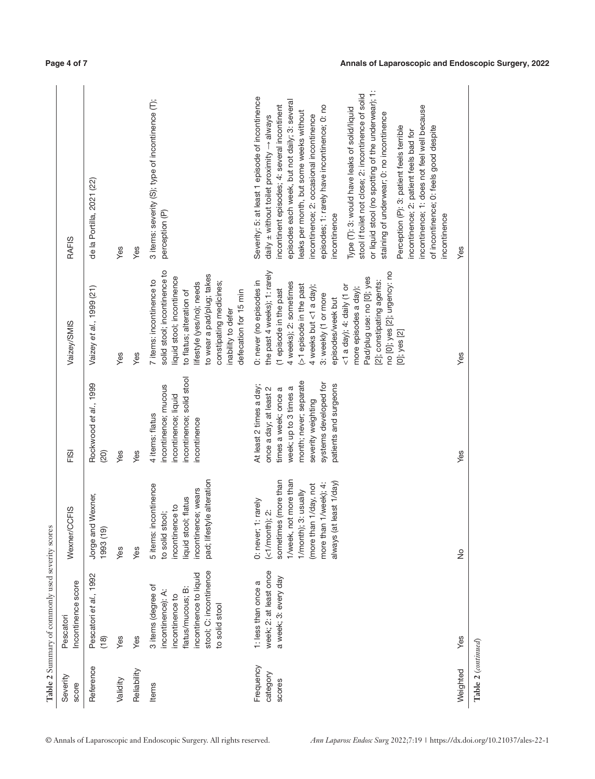| Rockwood et al., 1999<br>Yes<br>Yes<br>(20)                                                                                                                                                                                                                                             | Vaizey et al., 1999 (21)                                                                                                                                                                                                                                                                                                                                                              | de la Portilla, 2021 (22)                                                                                                                                                                                                                                                                                                                                                                                                                                                                                                                                                                                                                                                                                                                                                       |
|-----------------------------------------------------------------------------------------------------------------------------------------------------------------------------------------------------------------------------------------------------------------------------------------|---------------------------------------------------------------------------------------------------------------------------------------------------------------------------------------------------------------------------------------------------------------------------------------------------------------------------------------------------------------------------------------|---------------------------------------------------------------------------------------------------------------------------------------------------------------------------------------------------------------------------------------------------------------------------------------------------------------------------------------------------------------------------------------------------------------------------------------------------------------------------------------------------------------------------------------------------------------------------------------------------------------------------------------------------------------------------------------------------------------------------------------------------------------------------------|
|                                                                                                                                                                                                                                                                                         |                                                                                                                                                                                                                                                                                                                                                                                       |                                                                                                                                                                                                                                                                                                                                                                                                                                                                                                                                                                                                                                                                                                                                                                                 |
|                                                                                                                                                                                                                                                                                         | Yes                                                                                                                                                                                                                                                                                                                                                                                   | Yes                                                                                                                                                                                                                                                                                                                                                                                                                                                                                                                                                                                                                                                                                                                                                                             |
|                                                                                                                                                                                                                                                                                         | Yes                                                                                                                                                                                                                                                                                                                                                                                   | Yes                                                                                                                                                                                                                                                                                                                                                                                                                                                                                                                                                                                                                                                                                                                                                                             |
| incontinence; solid stool<br>incontinence; mucous<br>incontinence; liquid<br>4 items: flatus<br>incontinence<br>pad; lifestyle alteration<br>5 items: incontinence                                                                                                                      | solid stool; incontinence to<br>to wear a pad/plug; takes<br>liquid stool; incontinence<br>7 items: incontinence to<br>constipating medicines;<br>lifestyle (yes/no); needs<br>to flatus; alteration of<br>defecation for 15 min<br>inability to defer                                                                                                                                | 3 items: severity (S); type of incontinence (T);<br>perception (P)                                                                                                                                                                                                                                                                                                                                                                                                                                                                                                                                                                                                                                                                                                              |
| month; never; separate<br>systems developed for<br>patients and surgeons<br>At least 2 times a day;<br>week; up to 3 times a<br>once a day; at least 2<br>times a week; once a<br>severity weighting<br>sometimes (more than<br>1/week, not more than<br>least 1/day)<br>$1$ /week); 4: | the past 4 weeks); 1: rarely<br>no [0]; yes [2]; urgency: no<br>Pad/plug use: no [0]; yes<br>[2]; constipating agents:<br>0: never (no episodes in<br>4 weeks); 2: sometimes<br>>1 episode in the past<br>$<$ 1 a day); 4: daily (1 or<br>4 weeks but <1 a day);<br>more episodes a day);<br>(1 episode in the past<br>3: weekly (1 or more<br>episodes/week but<br>$[0]$ ; yes $[2]$ | or liquid stool (no spotting of the underwear); 1:<br>stool if toilet not close; 2: incontinence of solid<br>Severity: 5: at least 1 episode of incontinence<br>episodes each week, but not daily; 3: several<br>incontinent episodes; 4: several incontinent<br>episodes; 1: rarely have incontinence; 0: no<br>incontinence; 1: does not feel well because<br>Type (T): 3: would have leaks of solid/liquid<br>leaks per month, but some weeks without<br>staining of underwear; 0: no incontinence<br>incontinence; 2: occasional incontinence<br>daily $\pm$ without toilet proximity $\rightarrow$ always<br>Perception (P): 3: patient feels terrible<br>of incontinence; 0: feels good despite<br>incontinence; 2: patient feels bad for<br>incontinence<br>incontinence |
| Yes                                                                                                                                                                                                                                                                                     | Yes                                                                                                                                                                                                                                                                                                                                                                                   | Yes                                                                                                                                                                                                                                                                                                                                                                                                                                                                                                                                                                                                                                                                                                                                                                             |
|                                                                                                                                                                                                                                                                                         |                                                                                                                                                                                                                                                                                                                                                                                       |                                                                                                                                                                                                                                                                                                                                                                                                                                                                                                                                                                                                                                                                                                                                                                                 |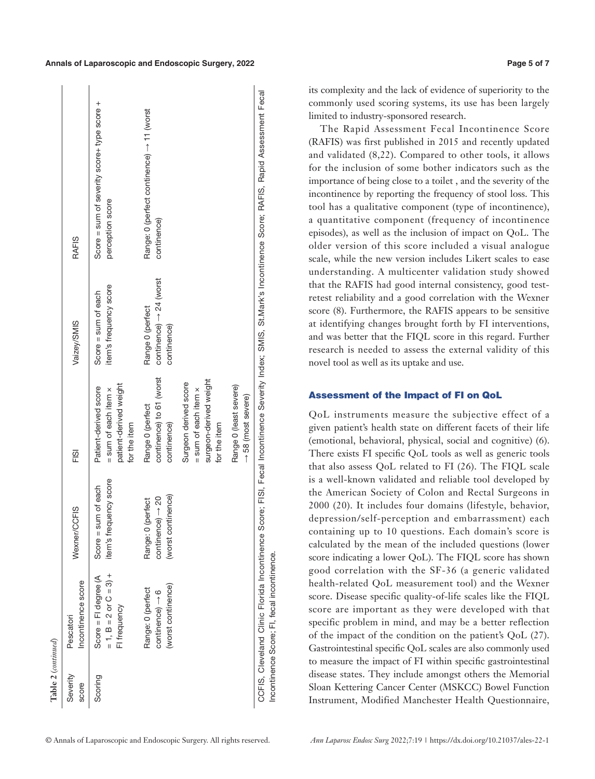| Table 2 (continued) |                                                                                             |                                                                               |                                                                                                  |                                                                        |                                                                                                                   |
|---------------------|---------------------------------------------------------------------------------------------|-------------------------------------------------------------------------------|--------------------------------------------------------------------------------------------------|------------------------------------------------------------------------|-------------------------------------------------------------------------------------------------------------------|
| Severity<br>score   | Incontinence score<br>Pescatori                                                             | Wexner/CCFIS                                                                  | FISI                                                                                             | Vaizey/SMIS                                                            | <b>RAFIS</b>                                                                                                      |
| Scoring             | $= 1$ , B = 2 or C = 3) +<br>Score = FI degree (A<br>FI frequency                           | item's frequency score<br>sum of each<br>Score $=$                            | patient-derived weight<br>Patient-derived score<br>$=$ sum of each item $\times$<br>for the item | item's frequency score<br>Score = sum of each                          | Score = sum of severity score+ type score +<br>perception score                                                   |
|                     | (worst continence)<br>Range: 0 (perfect<br>$\text{continuous} \rightarrow 6$                | (worst continence)<br>$\text{continuous} \rightarrow 20$<br>Range: 0 (perfect | continence) to 61 (worst<br>Range 0 (perfect<br>continence)                                      | continence) $\rightarrow$ 24 (worst<br>Range 0 (perfect<br>continence) | Range: 0 (perfect continence) → 11 (worst<br>continence)                                                          |
|                     |                                                                                             |                                                                               | surgeon-derived weight<br>Surgeon derived score<br>$=$ sum of each item $\times$<br>for the item |                                                                        |                                                                                                                   |
|                     |                                                                                             |                                                                               | Range 0 (least severe)<br>$\rightarrow$ 58 (most severe)                                         |                                                                        |                                                                                                                   |
|                     | CCFIS, Cleveland Clinic Florida Incontinence<br>Incontinence Score; FI, fecal incontinence. |                                                                               |                                                                                                  |                                                                        | Score; FISI, Fecal Incontinence Severity Index; SMIS, St.Mark's Incontinence Score; RAFIS, Rapid Assessment Fecal |

its complexity and the lack of evidence of superiority to the commonly used scoring systems, its use has been largely limited to industry-sponsored research.

The Rapid Assessment Fecal Incontinence Score (RAFIS) was first published in 2015 and recently updated and validated (8,22). Compared to other tools, it allows for the inclusion of some bother indicators such as the importance of being close to a toilet , and the severity of the incontinence by reporting the frequency of stool loss. This tool has a qualitative component (type of incontinence), a quantitative component (frequency of incontinence episodes), as well as the inclusion of impact on QoL. The older version of this score included a visual analogue scale, while the new version includes Likert scales to ease understanding. A multicenter validation study showed that the RAFIS had good internal consistency, good testretest reliability and a good correlation with the Wexner score (8). Furthermore, the RAFIS appears to be sensitive at identifying changes brought forth by FI interventions, and was better that the FIQL score in this regard. Further research is needed to assess the external validity of this novel tool as well as its uptake and use.

# Assessment of the Impact of FI on QoL

QoL instruments measure the subjective effect of a given patient's health state on different facets of their life (emotional, behavioral, physical, social and cognitive) (6). There exists FI specific QoL tools as well as generic tools that also assess QoL related to FI (26). The FIQL scale is a well-known validated and reliable tool developed by the American Society of Colon and Rectal Surgeons in 2000 (20). It includes four domains (lifestyle, behavior, depression/self-perception and embarrassment) each containing up to 10 questions. Each domain's score is calculated by the mean of the included questions (lower score indicating a lower QoL). The FIQL score has shown good correlation with the SF-36 (a generic validated health-related QoL measurement tool) and the Wexner score. Disease specific quality-of-life scales like the FIQL score are important as they were developed with that specific problem in mind, and may be a better reflection of the impact of the condition on the patient's QoL (27). Gastrointestinal specific QoL scales are also commonly used to measure the impact of FI within specific gastrointestinal disease states. They include amongst others the Memorial Sloan Kettering Cancer Center (MSKCC) Bowel Function Instrument, Modified Manchester Health Questionnaire,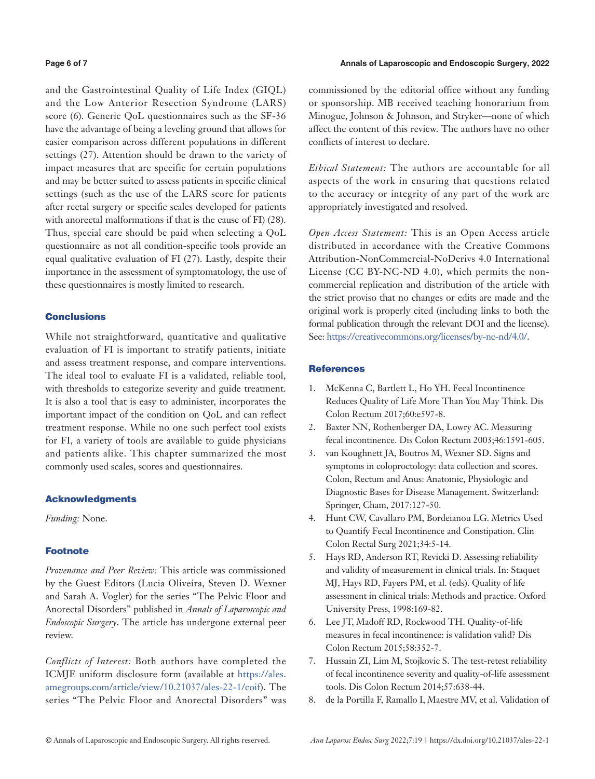### **Page 6 of 7 Annals of Laparoscopic and Endoscopic Surgery, 2022**

and the Gastrointestinal Quality of Life Index (GIQL) and the Low Anterior Resection Syndrome (LARS) score (6). Generic QoL questionnaires such as the SF-36 have the advantage of being a leveling ground that allows for easier comparison across different populations in different settings (27). Attention should be drawn to the variety of impact measures that are specific for certain populations and may be better suited to assess patients in specific clinical settings (such as the use of the LARS score for patients after rectal surgery or specific scales developed for patients with anorectal malformations if that is the cause of FI) (28). Thus, special care should be paid when selecting a QoL questionnaire as not all condition-specific tools provide an equal qualitative evaluation of FI (27). Lastly, despite their importance in the assessment of symptomatology, the use of these questionnaires is mostly limited to research.

# **Conclusions**

While not straightforward, quantitative and qualitative evaluation of FI is important to stratify patients, initiate and assess treatment response, and compare interventions. The ideal tool to evaluate FI is a validated, reliable tool, with thresholds to categorize severity and guide treatment. It is also a tool that is easy to administer, incorporates the important impact of the condition on QoL and can reflect treatment response. While no one such perfect tool exists for FI, a variety of tools are available to guide physicians and patients alike. This chapter summarized the most commonly used scales, scores and questionnaires.

### Acknowledgments

*Funding:* None.

## **Footnote**

*Provenance and Peer Review:* This article was commissioned by the Guest Editors (Lucia Oliveira, Steven D. Wexner and Sarah A. Vogler) for the series "The Pelvic Floor and Anorectal Disorders" published in *Annals of Laparoscopic and Endoscopic Surgery*. The article has undergone external peer review.

*Conflicts of Interest:* Both authors have completed the ICMJE uniform disclosure form (available at [https://ales.](https://ales.amegroups.com/article/view/10.21037/ales-22-1/coif) [amegroups.com/article/view/10.21037/ales-22-1/coif](https://ales.amegroups.com/article/view/10.21037/ales-22-1/coif)). The series "The Pelvic Floor and Anorectal Disorders" was commissioned by the editorial office without any funding or sponsorship. MB received teaching honorarium from Minogue, Johnson & Johnson, and Stryker—none of which affect the content of this review. The authors have no other conflicts of interest to declare.

*Ethical Statement:* The authors are accountable for all aspects of the work in ensuring that questions related to the accuracy or integrity of any part of the work are appropriately investigated and resolved.

*Open Access Statement:* This is an Open Access article distributed in accordance with the Creative Commons Attribution-NonCommercial-NoDerivs 4.0 International License (CC BY-NC-ND 4.0), which permits the noncommercial replication and distribution of the article with the strict proviso that no changes or edits are made and the original work is properly cited (including links to both the formal publication through the relevant DOI and the license). See:<https://creativecommons.org/licenses/by-nc-nd/4.0/>.

### **References**

- 1. McKenna C, Bartlett L, Ho YH. Fecal Incontinence Reduces Quality of Life More Than You May Think. Dis Colon Rectum 2017;60:e597-8.
- 2. Baxter NN, Rothenberger DA, Lowry AC. Measuring fecal incontinence. Dis Colon Rectum 2003;46:1591-605.
- 3. van Koughnett JA, Boutros M, Wexner SD. Signs and symptoms in coloproctology: data collection and scores. Colon, Rectum and Anus: Anatomic, Physiologic and Diagnostic Bases for Disease Management. Switzerland: Springer, Cham, 2017:127-50.
- 4. Hunt CW, Cavallaro PM, Bordeianou LG. Metrics Used to Quantify Fecal Incontinence and Constipation. Clin Colon Rectal Surg 2021;34:5-14.
- 5. Hays RD, Anderson RT, Revicki D. Assessing reliability and validity of measurement in clinical trials. In: Staquet MJ, Hays RD, Fayers PM, et al. (eds). Quality of life assessment in clinical trials: Methods and practice. Oxford University Press, 1998:169-82.
- 6. Lee JT, Madoff RD, Rockwood TH. Quality-of-life measures in fecal incontinence: is validation valid? Dis Colon Rectum 2015;58:352-7.
- 7. Hussain ZI, Lim M, Stojkovic S. The test-retest reliability of fecal incontinence severity and quality-of-life assessment tools. Dis Colon Rectum 2014;57:638-44.
- 8. de la Portilla F, Ramallo I, Maestre MV, et al. Validation of